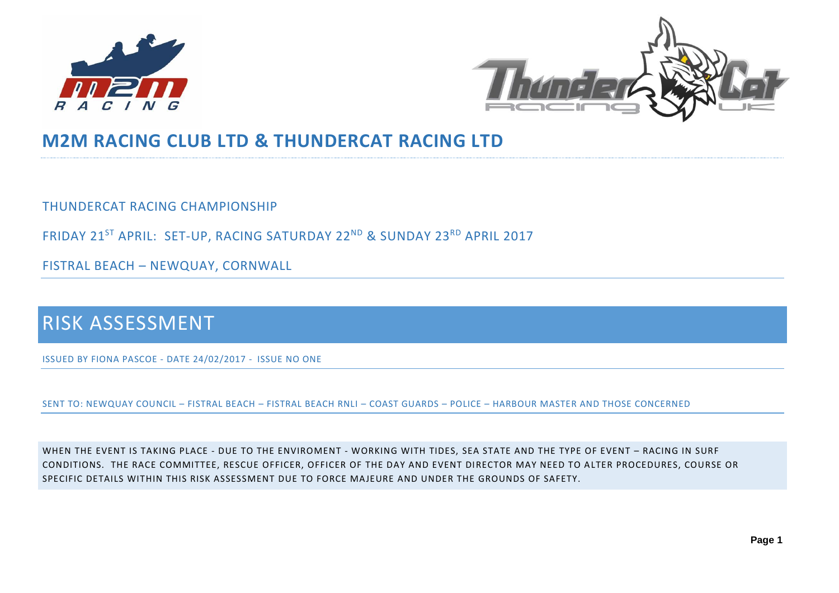



# **M2M RACING CLUB LTD & THUNDERCAT RACING LTD**

THUNDERCAT RACING CHAMPIONSHIP

FRIDAY 21<sup>ST</sup> APRIL: SET-UP, RACING SATURDAY 22<sup>ND</sup> & SUNDAY 23<sup>RD</sup> APRIL 2017

FISTRAL BEACH – NEWQUAY, CORNWALL

# RISK ASSESSMENT

ISSUED BY FIONA PASCOE - DATE 24/02/2017 - ISSUE NO ONE

SENT TO: NEWQUAY COUNCIL – FISTRAL BEACH – FISTRAL BEACH RNLI – COAST GUARDS – POLICE – HARBOUR MASTER AND THOSE CONCERNED

WHEN THE EVENT IS TAKING PLACE - DUE TO THE ENVIROMENT - WORKING WITH TIDES, SEA STATE AND THE TYPE OF EVENT – RACING IN SURF CONDITIONS. THE RACE COMMITTEE, RESCUE OFFICER, OFFICER OF THE DAY AND EVENT DIRECTOR MAY NEED TO ALTER PROCEDURES, COURSE OR SPECIFIC DETAILS WITHIN THIS RISK ASSESSMENT DUE TO FORCE MAJEURE AND UNDER THE GROUNDS OF SAFETY.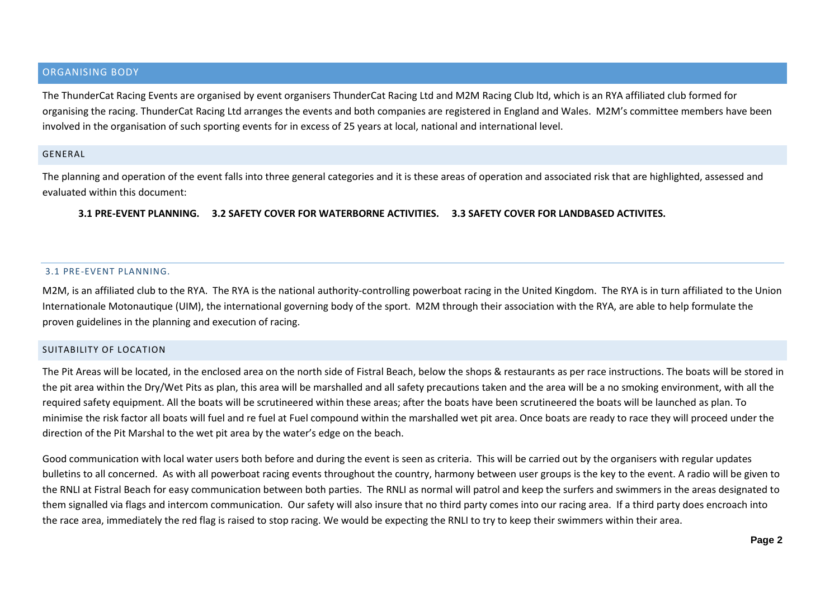### ORGANISING BODY

The ThunderCat Racing Events are organised by event organisers ThunderCat Racing Ltd and M2M Racing Club ltd, which is an RYA affiliated club formed for organising the racing. ThunderCat Racing Ltd arranges the events and both companies are registered in England and Wales. M2M's committee members have been involved in the organisation of such sporting events for in excess of 25 years at local, national and international level.

#### GENERAL

The planning and operation of the event falls into three general categories and it is these areas of operation and associated risk that are highlighted, assessed and evaluated within this document:

#### **3.1 PRE-EVENT PLANNING. 3.2 SAFETY COVER FOR WATERBORNE ACTIVITIES. 3.3 SAFETY COVER FOR LANDBASED ACTIVITES.**

#### 3.1 PRE-EVENT PLANNING.

M2M, is an affiliated club to the RYA. The RYA is the national authority-controlling powerboat racing in the United Kingdom. The RYA is in turn affiliated to the Union Internationale Motonautique (UIM), the international governing body of the sport. M2M through their association with the RYA, are able to help formulate the proven guidelines in the planning and execution of racing.

#### SUITABILITY OF LOCATION

The Pit Areas will be located, in the enclosed area on the north side of Fistral Beach, below the shops & restaurants as per race instructions. The boats will be stored in the pit area within the Dry/Wet Pits as plan, this area will be marshalled and all safety precautions taken and the area will be a no smoking environment, with all the required safety equipment. All the boats will be scrutineered within these areas; after the boats have been scrutineered the boats will be launched as plan. To minimise the risk factor all boats will fuel and re fuel at Fuel compound within the marshalled wet pit area. Once boats are ready to race they will proceed under the direction of the Pit Marshal to the wet pit area by the water's edge on the beach.

Good communication with local water users both before and during the event is seen as criteria. This will be carried out by the organisers with regular updates bulletins to all concerned. As with all powerboat racing events throughout the country, harmony between user groups is the key to the event. A radio will be given to the RNLI at Fistral Beach for easy communication between both parties. The RNLI as normal will patrol and keep the surfers and swimmers in the areas designated to them signalled via flags and intercom communication. Our safety will also insure that no third party comes into our racing area. If a third party does encroach into the race area, immediately the red flag is raised to stop racing. We would be expecting the RNLI to try to keep their swimmers within their area.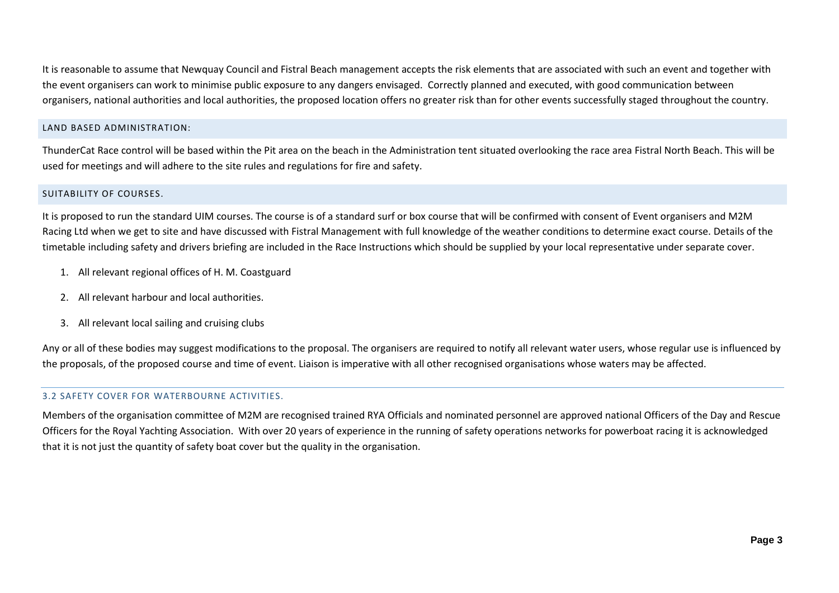It is reasonable to assume that Newquay Council and Fistral Beach management accepts the risk elements that are associated with such an event and together with the event organisers can work to minimise public exposure to any dangers envisaged. Correctly planned and executed, with good communication between organisers, national authorities and local authorities, the proposed location offers no greater risk than for other events successfully staged throughout the country.

# LAND BASED ADMINISTRATION:

ThunderCat Race control will be based within the Pit area on the beach in the Administration tent situated overlooking the race area Fistral North Beach. This will be used for meetings and will adhere to the site rules and regulations for fire and safety.

# SUITABILITY OF COURSES.

It is proposed to run the standard UIM courses. The course is of a standard surf or box course that will be confirmed with consent of Event organisers and M2M Racing Ltd when we get to site and have discussed with Fistral Management with full knowledge of the weather conditions to determine exact course. Details of the timetable including safety and drivers briefing are included in the Race Instructions which should be supplied by your local representative under separate cover.

- 1. All relevant regional offices of H. M. Coastguard
- 2. All relevant harbour and local authorities.
- 3. All relevant local sailing and cruising clubs

Any or all of these bodies may suggest modifications to the proposal. The organisers are required to notify all relevant water users, whose regular use is influenced by the proposals, of the proposed course and time of event. Liaison is imperative with all other recognised organisations whose waters may be affected.

# 3.2 SAFETY COVER FOR WATERBOURNE ACTIVITIES.

Members of the organisation committee of M2M are recognised trained RYA Officials and nominated personnel are approved national Officers of the Day and Rescue Officers for the Royal Yachting Association. With over 20 years of experience in the running of safety operations networks for powerboat racing it is acknowledged that it is not just the quantity of safety boat cover but the quality in the organisation.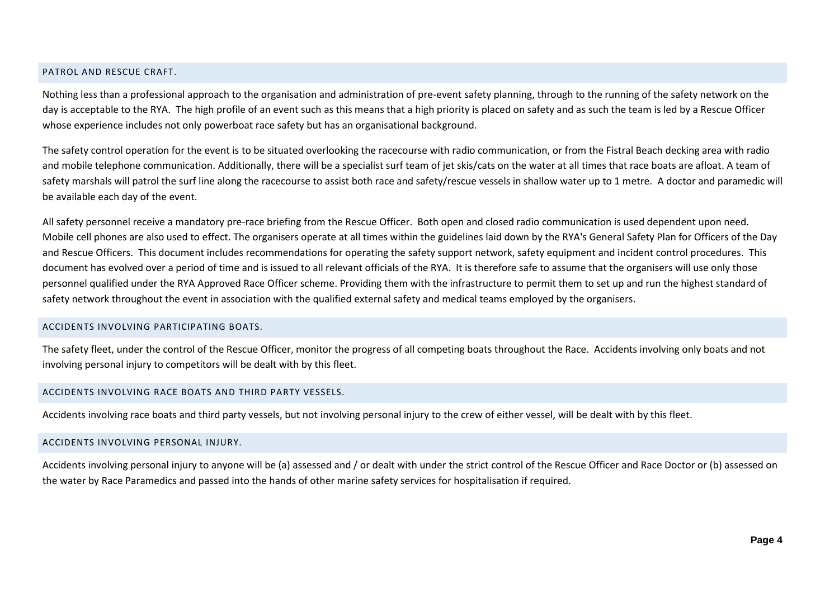#### PATROL AND RESCUE CRAFT.

Nothing less than a professional approach to the organisation and administration of pre-event safety planning, through to the running of the safety network on the day is acceptable to the RYA. The high profile of an event such as this means that a high priority is placed on safety and as such the team is led by a Rescue Officer whose experience includes not only powerboat race safety but has an organisational background.

The safety control operation for the event is to be situated overlooking the racecourse with radio communication, or from the Fistral Beach decking area with radio and mobile telephone communication. Additionally, there will be a specialist surf team of jet skis/cats on the water at all times that race boats are afloat. A team of safety marshals will patrol the surf line along the racecourse to assist both race and safety/rescue vessels in shallow water up to 1 metre. A doctor and paramedic will be available each day of the event.

All safety personnel receive a mandatory pre-race briefing from the Rescue Officer. Both open and closed radio communication is used dependent upon need. Mobile cell phones are also used to effect. The organisers operate at all times within the guidelines laid down by the RYA's General Safety Plan for Officers of the Day and Rescue Officers. This document includes recommendations for operating the safety support network, safety equipment and incident control procedures. This document has evolved over a period of time and is issued to all relevant officials of the RYA. It is therefore safe to assume that the organisers will use only those personnel qualified under the RYA Approved Race Officer scheme. Providing them with the infrastructure to permit them to set up and run the highest standard of safety network throughout the event in association with the qualified external safety and medical teams employed by the organisers.

#### ACCIDENTS INVOLVING PARTICIPATING BOATS.

The safety fleet, under the control of the Rescue Officer, monitor the progress of all competing boats throughout the Race. Accidents involving only boats and not involving personal injury to competitors will be dealt with by this fleet.

#### ACCIDENTS INVOLVING RACE BOATS AND THIRD PARTY VESSELS.

Accidents involving race boats and third party vessels, but not involving personal injury to the crew of either vessel, will be dealt with by this fleet.

#### ACCIDENTS INVOLVING PERSONAL INJURY.

Accidents involving personal injury to anyone will be (a) assessed and / or dealt with under the strict control of the Rescue Officer and Race Doctor or (b) assessed on the water by Race Paramedics and passed into the hands of other marine safety services for hospitalisation if required.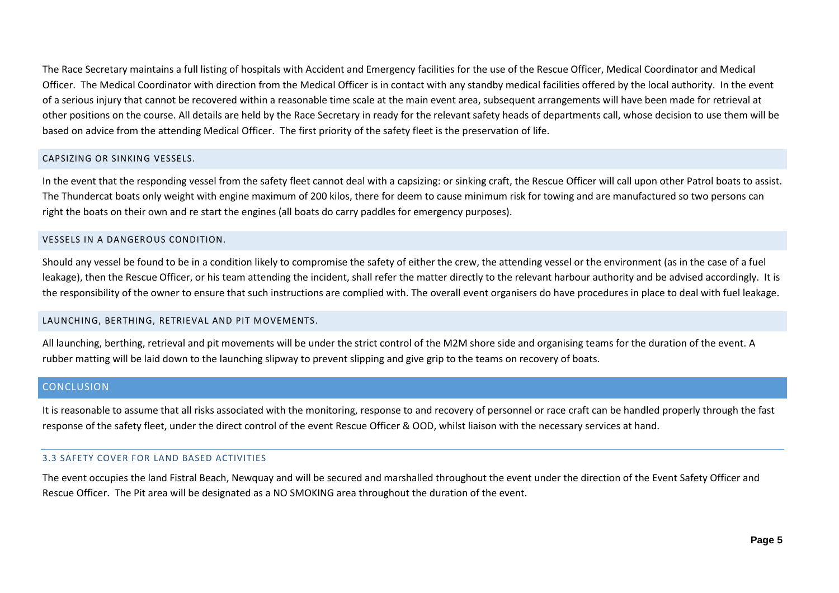The Race Secretary maintains a full listing of hospitals with Accident and Emergency facilities for the use of the Rescue Officer, Medical Coordinator and Medical Officer. The Medical Coordinator with direction from the Medical Officer is in contact with any standby medical facilities offered by the local authority. In the event of a serious injury that cannot be recovered within a reasonable time scale at the main event area, subsequent arrangements will have been made for retrieval at other positions on the course. All details are held by the Race Secretary in ready for the relevant safety heads of departments call, whose decision to use them will be based on advice from the attending Medical Officer. The first priority of the safety fleet is the preservation of life.

## CAPSIZING OR SINKING VESSELS.

In the event that the responding vessel from the safety fleet cannot deal with a capsizing: or sinking craft, the Rescue Officer will call upon other Patrol boats to assist. The Thundercat boats only weight with engine maximum of 200 kilos, there for deem to cause minimum risk for towing and are manufactured so two persons can right the boats on their own and re start the engines (all boats do carry paddles for emergency purposes).

### VESSELS IN A DANGEROUS CONDITION.

Should any vessel be found to be in a condition likely to compromise the safety of either the crew, the attending vessel or the environment (as in the case of a fuel leakage), then the Rescue Officer, or his team attending the incident, shall refer the matter directly to the relevant harbour authority and be advised accordingly. It is the responsibility of the owner to ensure that such instructions are complied with. The overall event organisers do have procedures in place to deal with fuel leakage.

#### LAUNCHING, BERTHING, RETRIEVAL AND PIT MOVEMENTS.

All launching, berthing, retrieval and pit movements will be under the strict control of the M2M shore side and organising teams for the duration of the event. A rubber matting will be laid down to the launching slipway to prevent slipping and give grip to the teams on recovery of boats.

## **CONCLUSION**

It is reasonable to assume that all risks associated with the monitoring, response to and recovery of personnel or race craft can be handled properly through the fast response of the safety fleet, under the direct control of the event Rescue Officer & OOD, whilst liaison with the necessary services at hand.

## 3.3 SAFETY COVER FOR LAND BASED ACTIVITIES

The event occupies the land Fistral Beach, Newquay and will be secured and marshalled throughout the event under the direction of the Event Safety Officer and Rescue Officer. The Pit area will be designated as a NO SMOKING area throughout the duration of the event.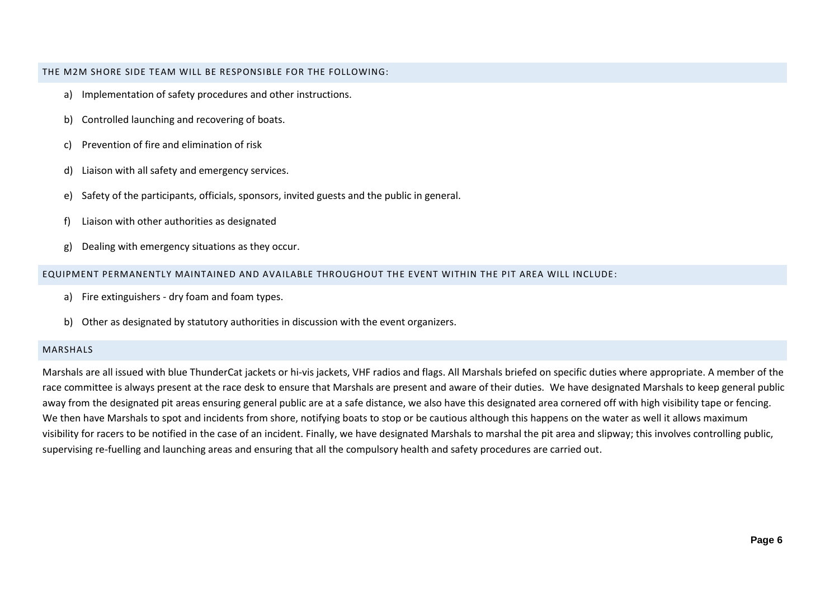THE M2M SHORE SIDE TEAM WILL BE RESPONSIBLE FOR THE FOLLOWING:

- a) Implementation of safety procedures and other instructions.
- b) Controlled launching and recovering of boats.
- c) Prevention of fire and elimination of risk
- d) Liaison with all safety and emergency services.
- e) Safety of the participants, officials, sponsors, invited guests and the public in general.
- f) Liaison with other authorities as designated
- g) Dealing with emergency situations as they occur.

#### EQUIPMENT PERMANENTLY MAINTAINED AND AVAILABLE THROUGHOUT THE EVENT WITHIN THE PIT AREA WILL INCLUDE:

- a) Fire extinguishers dry foam and foam types.
- b) Other as designated by statutory authorities in discussion with the event organizers.

#### MARSHALS

Marshals are all issued with blue ThunderCat jackets or hi-vis jackets, VHF radios and flags. All Marshals briefed on specific duties where appropriate. A member of the race committee is always present at the race desk to ensure that Marshals are present and aware of their duties. We have designated Marshals to keep general public away from the designated pit areas ensuring general public are at a safe distance, we also have this designated area cornered off with high visibility tape or fencing. We then have Marshals to spot and incidents from shore, notifying boats to stop or be cautious although this happens on the water as well it allows maximum visibility for racers to be notified in the case of an incident. Finally, we have designated Marshals to marshal the pit area and slipway; this involves controlling public, supervising re-fuelling and launching areas and ensuring that all the compulsory health and safety procedures are carried out.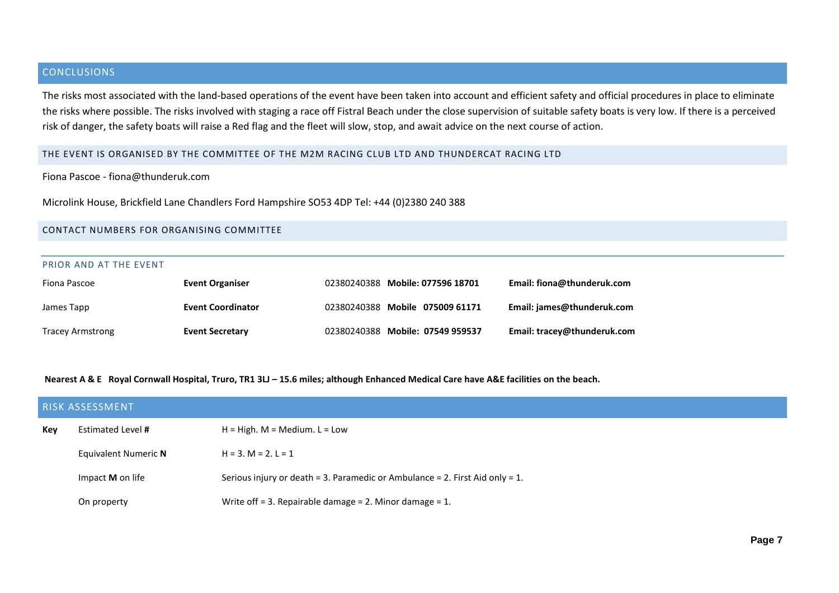# **CONCLUSIONS**

The risks most associated with the land-based operations of the event have been taken into account and efficient safety and official procedures in place to eliminate the risks where possible. The risks involved with staging a race off Fistral Beach under the close supervision of suitable safety boats is very low. If there is a perceived risk of danger, the safety boats will raise a Red flag and the fleet will slow, stop, and await advice on the next course of action.

#### THE EVENT IS ORGANISED BY THE COMMITTEE OF THE M2M RACING CLUB LTD AND THUNDERCAT RACING LTD

Fiona Pascoe - fiona@thunderuk.com

Microlink House, Brickfield Lane Chandlers Ford Hampshire SO53 4DP Tel: +44 (0)2380 240 388

#### CONTACT NUMBERS FOR ORGANISING COMMITTEE

#### PRIOR AND AT THE EVENT

| Fiona Pascoe            | <b>Event Organiser</b>   | 02380240388 Mobile: 077596 18701 | Email: fiona@thunderuk.com  |
|-------------------------|--------------------------|----------------------------------|-----------------------------|
| James Tapp              | <b>Event Coordinator</b> | 02380240388 Mobile 075009 61171  | Email: james@thunderuk.com  |
| <b>Tracey Armstrong</b> | <b>Event Secretary</b>   | 02380240388 Mobile: 07549 959537 | Email: tracey@thunderuk.com |

Nearest A & E Royal Cornwall Hospital, Truro, TR1 3LJ - 15.6 miles; although Enhanced Medical Care have A&E facilities on the beach.

|                                               | <b>RISK ASSESSMENT</b>                                |                                                                              |  |  |  |  |
|-----------------------------------------------|-------------------------------------------------------|------------------------------------------------------------------------------|--|--|--|--|
| Key                                           | Estimated Level #<br>$H = High$ . M = Medium. L = Low |                                                                              |  |  |  |  |
| Equivalent Numeric N<br>$H = 3. M = 2. L = 1$ |                                                       |                                                                              |  |  |  |  |
|                                               | Impact M on life                                      | Serious injury or death = 3. Paramedic or Ambulance = 2. First Aid only = 1. |  |  |  |  |
|                                               | On property                                           | Write off = 3. Repairable damage = 2. Minor damage = $1$ .                   |  |  |  |  |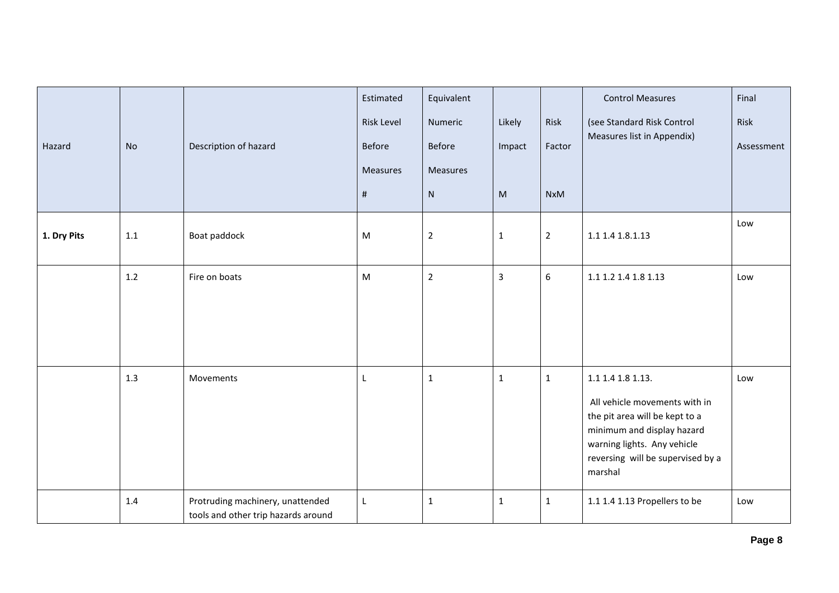| Hazard      | <b>No</b> | Description of hazard                                                   | Estimated<br><b>Risk Level</b><br>Before<br><b>Measures</b><br>$\#$ | Equivalent<br>Numeric<br>Before<br>Measures<br>${\sf N}$ | Likely<br>Impact<br>$\mathsf{M}% _{H}=\mathsf{M}_{H}$ | Risk<br>Factor<br><b>NxM</b> | <b>Control Measures</b><br>(see Standard Risk Control<br>Measures list in Appendix)                                                                                                               | Final<br>Risk<br>Assessment |
|-------------|-----------|-------------------------------------------------------------------------|---------------------------------------------------------------------|----------------------------------------------------------|-------------------------------------------------------|------------------------------|---------------------------------------------------------------------------------------------------------------------------------------------------------------------------------------------------|-----------------------------|
| 1. Dry Pits | $1.1\,$   | Boat paddock                                                            | ${\sf M}$                                                           | $\overline{2}$                                           | $\mathbf 1$                                           | $\overline{2}$               | 1.1 1.4 1.8.1.13                                                                                                                                                                                  | Low                         |
|             | 1.2       | Fire on boats                                                           | M                                                                   | $\overline{2}$                                           | $\overline{3}$                                        | 6                            | 1.1 1.2 1.4 1.8 1.13                                                                                                                                                                              | Low                         |
|             | 1.3       | Movements                                                               | L                                                                   | $\mathbf{1}$                                             | $\mathbf{1}$                                          | $\mathbf{1}$                 | 1.1 1.4 1.8 1.13.<br>All vehicle movements with in<br>the pit area will be kept to a<br>minimum and display hazard<br>warning lights. Any vehicle<br>reversing will be supervised by a<br>marshal | Low                         |
|             | 1.4       | Protruding machinery, unattended<br>tools and other trip hazards around | $\mathsf L$                                                         | $\mathbf{1}$                                             | $\mathbf{1}$                                          | $\mathbf{1}$                 | 1.1 1.4 1.13 Propellers to be                                                                                                                                                                     | Low                         |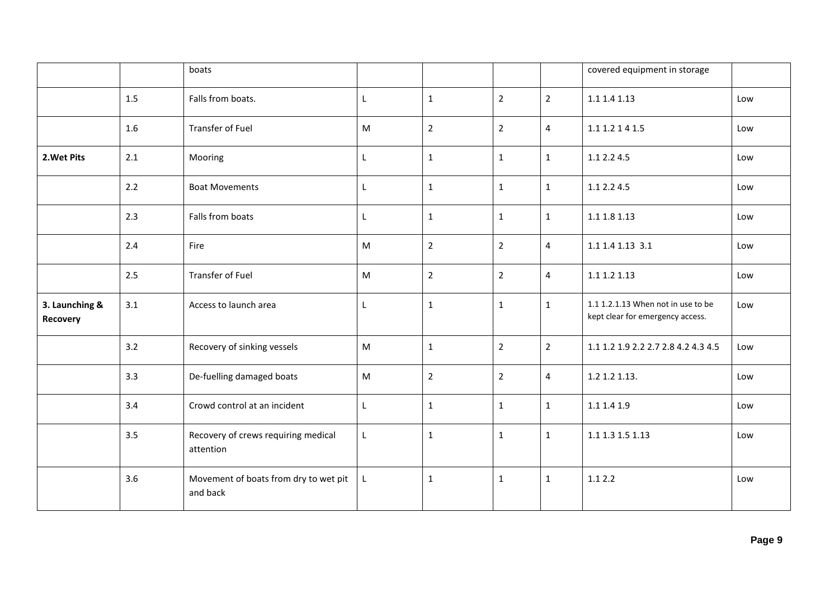|                            |     | boats                                             |             |                |                |                | covered equipment in storage                                           |     |
|----------------------------|-----|---------------------------------------------------|-------------|----------------|----------------|----------------|------------------------------------------------------------------------|-----|
|                            | 1.5 | Falls from boats.                                 | L           | $\mathbf{1}$   | $\overline{2}$ | $\overline{2}$ | 1.1 1.4 1.13                                                           | Low |
|                            | 1.6 | <b>Transfer of Fuel</b>                           | ${\sf M}$   | $\overline{2}$ | $\overline{2}$ | $\overline{4}$ | 1.1 1.2 1 4 1.5                                                        | Low |
| 2. Wet Pits                | 2.1 | Mooring                                           | L           | $\mathbf{1}$   | $\mathbf{1}$   | $\mathbf{1}$   | 1.1 2.2 4.5                                                            | Low |
|                            | 2.2 | <b>Boat Movements</b>                             | L           | $\mathbf{1}$   | $\mathbf{1}$   | $\mathbf{1}$   | 1.1 2.2 4.5                                                            | Low |
|                            | 2.3 | Falls from boats                                  | L           | $\mathbf{1}$   | $\mathbf{1}$   | $\mathbf{1}$   | 1.1 1.8 1.13                                                           | Low |
|                            | 2.4 | Fire                                              | ${\sf M}$   | $\overline{2}$ | $\overline{2}$ | $\overline{4}$ | 1.1 1.4 1.13 3.1                                                       | Low |
|                            | 2.5 | <b>Transfer of Fuel</b>                           | M           | $\overline{2}$ | $\overline{2}$ | $\overline{4}$ | 1.1 1.2 1.13                                                           | Low |
| 3. Launching &<br>Recovery | 3.1 | Access to launch area                             | L           | $\mathbf{1}$   | $\mathbf{1}$   | $\mathbf{1}$   | 1.1 1.2.1.13 When not in use to be<br>kept clear for emergency access. | Low |
|                            | 3.2 | Recovery of sinking vessels                       | M           | $\mathbf{1}$   | $\overline{2}$ | $\overline{2}$ | 1.1 1.2 1.9 2.2 2.7 2.8 4.2 4.3 4.5                                    | Low |
|                            | 3.3 | De-fuelling damaged boats                         | ${\sf M}$   | $\overline{2}$ | $\overline{2}$ | $\overline{4}$ | 1.2 1.2 1.13.                                                          | Low |
|                            | 3.4 | Crowd control at an incident                      | $\mathsf L$ | $\mathbf{1}$   | $\mathbf{1}$   | $\mathbf{1}$   | 1.1 1.4 1.9                                                            | Low |
|                            | 3.5 | Recovery of crews requiring medical<br>attention  | L           | $\mathbf{1}$   | $\mathbf{1}$   | $\mathbf{1}$   | 1.1 1.3 1.5 1.13                                                       | Low |
|                            | 3.6 | Movement of boats from dry to wet pit<br>and back | L           | $\mathbf{1}$   | $\mathbf{1}$   | $\mathbf{1}$   | 1.12.2                                                                 | Low |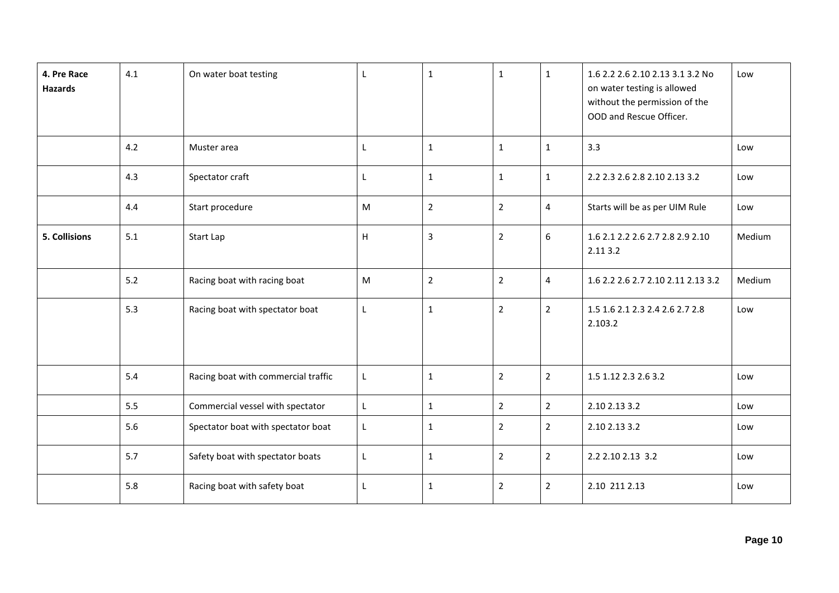| 4. Pre Race<br><b>Hazards</b> | 4.1 | On water boat testing               | L | $\mathbf 1$    | $\mathbf{1}$   | $\mathbf{1}$            | 1.6 2.2 2.6 2.10 2.13 3.1 3.2 No<br>on water testing is allowed<br>without the permission of the<br>OOD and Rescue Officer. | Low    |
|-------------------------------|-----|-------------------------------------|---|----------------|----------------|-------------------------|-----------------------------------------------------------------------------------------------------------------------------|--------|
|                               | 4.2 | Muster area                         | L | $1\,$          | $\mathbf{1}$   | $\mathbf{1}$            | 3.3                                                                                                                         | Low    |
|                               | 4.3 | Spectator craft                     | L | $\mathbf{1}$   | $\mathbf{1}$   | $\mathbf{1}$            | 2.2 2.3 2.6 2.8 2.10 2.13 3.2                                                                                               | Low    |
|                               | 4.4 | Start procedure                     | M | $\overline{2}$ | $\overline{2}$ | $\overline{\mathbf{4}}$ | Starts will be as per UIM Rule                                                                                              | Low    |
| <b>5. Collisions</b>          | 5.1 | Start Lap                           | H | 3              | $\overline{2}$ | 6                       | 1.6 2.1 2.2 2.6 2.7 2.8 2.9 2.10<br>2.11 3.2                                                                                | Medium |
|                               | 5.2 | Racing boat with racing boat        | M | $\overline{2}$ | $\overline{2}$ | $\overline{4}$          | 1.6 2.2 2.6 2.7 2.10 2.11 2.13 3.2                                                                                          | Medium |
|                               | 5.3 | Racing boat with spectator boat     | L | $\mathbf 1$    | $\overline{2}$ | $\overline{2}$          | 1.5 1.6 2.1 2.3 2.4 2.6 2.7 2.8<br>2.103.2                                                                                  | Low    |
|                               | 5.4 | Racing boat with commercial traffic | L | $\mathbf 1$    | $\overline{2}$ | $\overline{2}$          | 1.5 1.12 2.3 2.6 3.2                                                                                                        | Low    |
|                               | 5.5 | Commercial vessel with spectator    | L | $\mathbf{1}$   | $\overline{2}$ | $\overline{2}$          | 2.10 2.13 3.2                                                                                                               | Low    |
|                               | 5.6 | Spectator boat with spectator boat  | L | $\mathbf{1}$   | $\overline{2}$ | $\overline{2}$          | 2.10 2.13 3.2                                                                                                               | Low    |
|                               | 5.7 | Safety boat with spectator boats    | L | $\mathbf{1}$   | $\overline{2}$ | $\overline{2}$          | 2.2 2.10 2.13 3.2                                                                                                           | Low    |
|                               | 5.8 | Racing boat with safety boat        | L | $\mathbf{1}$   | $\overline{2}$ | $\overline{2}$          | 2.10 211 2.13                                                                                                               | Low    |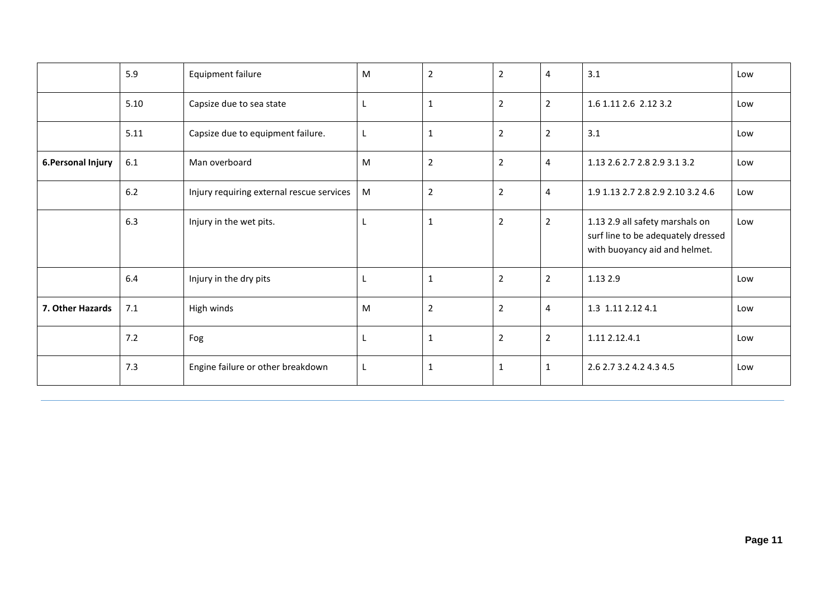|                    | 5.9  | Equipment failure                         | M  | $\overline{2}$ | $\overline{2}$ | 4              | 3.1                                                                                                    | Low |
|--------------------|------|-------------------------------------------|----|----------------|----------------|----------------|--------------------------------------------------------------------------------------------------------|-----|
|                    | 5.10 | Capsize due to sea state                  | L  | $\mathbf{1}$   | $\overline{2}$ | $\overline{2}$ | 1.6 1.11 2.6 2.12 3.2                                                                                  | Low |
|                    | 5.11 | Capsize due to equipment failure.         | L. | $\mathbf{1}$   | $\overline{2}$ | $\overline{2}$ | 3.1                                                                                                    | Low |
| 6. Personal Injury | 6.1  | Man overboard                             | M  | $\mathbf 2$    | $\overline{2}$ | $\overline{4}$ | 1.13 2.6 2.7 2.8 2.9 3.1 3.2                                                                           | Low |
|                    | 6.2  | Injury requiring external rescue services | M  | $\overline{2}$ | $\overline{2}$ | $\overline{4}$ | 1.9 1.13 2.7 2.8 2.9 2.10 3.2 4.6                                                                      | Low |
|                    | 6.3  | Injury in the wet pits.                   | L. | 1              | 2              | $\overline{2}$ | 1.13 2.9 all safety marshals on<br>surf line to be adequately dressed<br>with buoyancy aid and helmet. | Low |
|                    | 6.4  | Injury in the dry pits                    | L  | $\mathbf{1}$   | $\overline{2}$ | $\overline{2}$ | 1.13 2.9                                                                                               | Low |
| 7. Other Hazards   | 7.1  | High winds                                | M  | $\overline{2}$ | $\overline{2}$ | $\overline{4}$ | 1.3 1.11 2.12 4.1                                                                                      | Low |
|                    | 7.2  | Fog                                       | L  | $\mathbf{1}$   | $\overline{2}$ | $\overline{2}$ | 1.11 2.12.4.1                                                                                          | Low |
|                    | 7.3  | Engine failure or other breakdown         | L  | 1              | $\mathbf{1}$   | $\mathbf{1}$   | 2.6 2.7 3.2 4.2 4.3 4.5                                                                                | Low |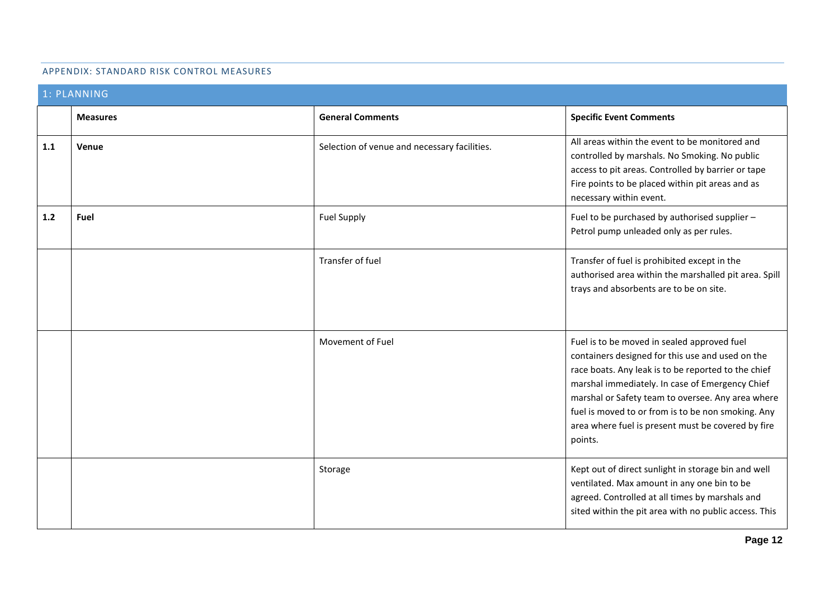#### APPENDIX: STANDARD RISK CONTROL MEASURES

|       | 1: PLANNING     |                                              |                                                                                                                                                                                                                                                                                                                                                                                       |
|-------|-----------------|----------------------------------------------|---------------------------------------------------------------------------------------------------------------------------------------------------------------------------------------------------------------------------------------------------------------------------------------------------------------------------------------------------------------------------------------|
|       | <b>Measures</b> | <b>General Comments</b>                      | <b>Specific Event Comments</b>                                                                                                                                                                                                                                                                                                                                                        |
| 1.1   | Venue           | Selection of venue and necessary facilities. | All areas within the event to be monitored and<br>controlled by marshals. No Smoking. No public<br>access to pit areas. Controlled by barrier or tape<br>Fire points to be placed within pit areas and as<br>necessary within event.                                                                                                                                                  |
| $1.2$ | Fuel            | <b>Fuel Supply</b>                           | Fuel to be purchased by authorised supplier -<br>Petrol pump unleaded only as per rules.                                                                                                                                                                                                                                                                                              |
|       |                 | Transfer of fuel                             | Transfer of fuel is prohibited except in the<br>authorised area within the marshalled pit area. Spill<br>trays and absorbents are to be on site.                                                                                                                                                                                                                                      |
|       |                 | Movement of Fuel                             | Fuel is to be moved in sealed approved fuel<br>containers designed for this use and used on the<br>race boats. Any leak is to be reported to the chief<br>marshal immediately. In case of Emergency Chief<br>marshal or Safety team to oversee. Any area where<br>fuel is moved to or from is to be non smoking. Any<br>area where fuel is present must be covered by fire<br>points. |
|       |                 | Storage                                      | Kept out of direct sunlight in storage bin and well<br>ventilated. Max amount in any one bin to be<br>agreed. Controlled at all times by marshals and<br>sited within the pit area with no public access. This                                                                                                                                                                        |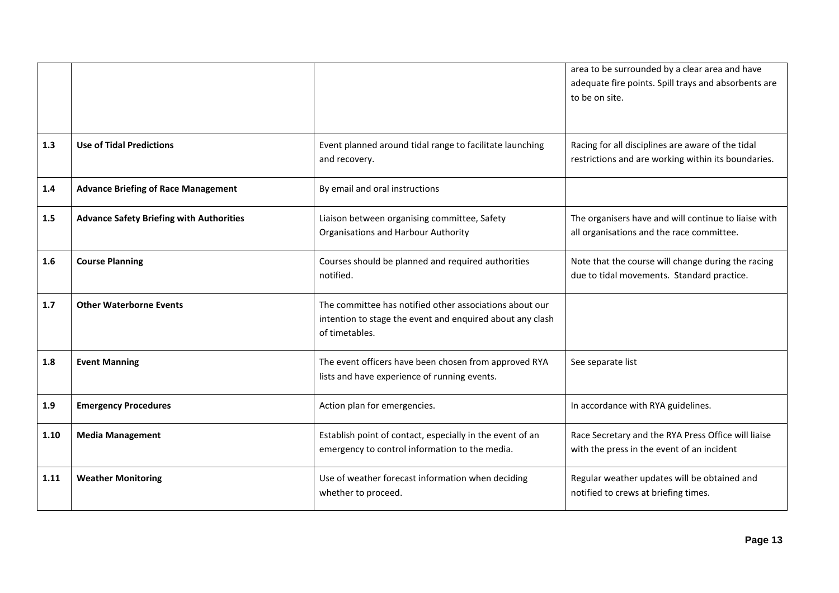|      |                                                 |                                                                                                                                        | area to be surrounded by a clear area and have<br>adequate fire points. Spill trays and absorbents are<br>to be on site. |
|------|-------------------------------------------------|----------------------------------------------------------------------------------------------------------------------------------------|--------------------------------------------------------------------------------------------------------------------------|
| 1.3  | <b>Use of Tidal Predictions</b>                 | Event planned around tidal range to facilitate launching<br>and recovery.                                                              | Racing for all disciplines are aware of the tidal<br>restrictions and are working within its boundaries.                 |
| 1.4  | <b>Advance Briefing of Race Management</b>      | By email and oral instructions                                                                                                         |                                                                                                                          |
| 1.5  | <b>Advance Safety Briefing with Authorities</b> | Liaison between organising committee, Safety<br><b>Organisations and Harbour Authority</b>                                             | The organisers have and will continue to liaise with<br>all organisations and the race committee.                        |
| 1.6  | <b>Course Planning</b>                          | Courses should be planned and required authorities<br>notified.                                                                        | Note that the course will change during the racing<br>due to tidal movements. Standard practice.                         |
| 1.7  | <b>Other Waterborne Events</b>                  | The committee has notified other associations about our<br>intention to stage the event and enquired about any clash<br>of timetables. |                                                                                                                          |
| 1.8  | <b>Event Manning</b>                            | The event officers have been chosen from approved RYA<br>lists and have experience of running events.                                  | See separate list                                                                                                        |
| 1.9  | <b>Emergency Procedures</b>                     | Action plan for emergencies.                                                                                                           | In accordance with RYA guidelines.                                                                                       |
| 1.10 | <b>Media Management</b>                         | Establish point of contact, especially in the event of an<br>emergency to control information to the media.                            | Race Secretary and the RYA Press Office will liaise<br>with the press in the event of an incident                        |
| 1.11 | <b>Weather Monitoring</b>                       | Use of weather forecast information when deciding<br>whether to proceed.                                                               | Regular weather updates will be obtained and<br>notified to crews at briefing times.                                     |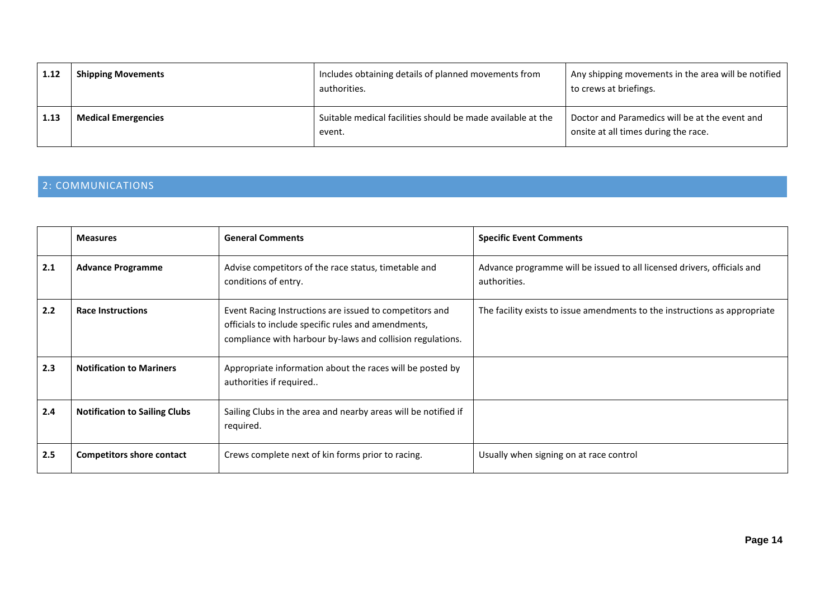| 1.12 | <b>Shipping Movements</b>  | Includes obtaining details of planned movements from<br>authorities.  | Any shipping movements in the area will be notified<br>to crews at briefings.          |
|------|----------------------------|-----------------------------------------------------------------------|----------------------------------------------------------------------------------------|
| 1.13 | <b>Medical Emergencies</b> | Suitable medical facilities should be made available at the<br>event. | Doctor and Paramedics will be at the event and<br>onsite at all times during the race. |

# 2: COMMUNICATIONS

|     | <b>Measures</b>                      | <b>General Comments</b>                                                                                                                                                      | <b>Specific Event Comments</b>                                                          |
|-----|--------------------------------------|------------------------------------------------------------------------------------------------------------------------------------------------------------------------------|-----------------------------------------------------------------------------------------|
| 2.1 | <b>Advance Programme</b>             | Advise competitors of the race status, timetable and<br>conditions of entry.                                                                                                 | Advance programme will be issued to all licensed drivers, officials and<br>authorities. |
| 2.2 | <b>Race Instructions</b>             | Event Racing Instructions are issued to competitors and<br>officials to include specific rules and amendments,<br>compliance with harbour by-laws and collision regulations. | The facility exists to issue amendments to the instructions as appropriate              |
| 2.3 | <b>Notification to Mariners</b>      | Appropriate information about the races will be posted by<br>authorities if required                                                                                         |                                                                                         |
| 2.4 | <b>Notification to Sailing Clubs</b> | Sailing Clubs in the area and nearby areas will be notified if<br>required.                                                                                                  |                                                                                         |
| 2.5 | <b>Competitors shore contact</b>     | Crews complete next of kin forms prior to racing.                                                                                                                            | Usually when signing on at race control                                                 |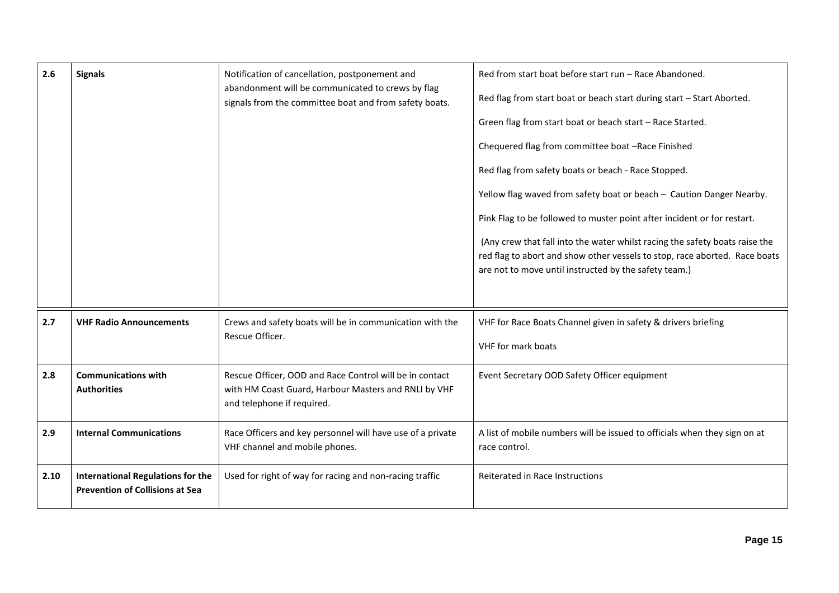| 2.6  | <b>Signals</b>                                                                     | Notification of cancellation, postponement and<br>abandonment will be communicated to crews by flag<br>signals from the committee boat and from safety boats. | Red from start boat before start run - Race Abandoned.<br>Red flag from start boat or beach start during start - Start Aborted.<br>Green flag from start boat or beach start - Race Started.<br>Chequered flag from committee boat -Race Finished<br>Red flag from safety boats or beach - Race Stopped.<br>Yellow flag waved from safety boat or beach - Caution Danger Nearby.<br>Pink Flag to be followed to muster point after incident or for restart.<br>(Any crew that fall into the water whilst racing the safety boats raise the<br>red flag to abort and show other vessels to stop, race aborted. Race boats<br>are not to move until instructed by the safety team.) |
|------|------------------------------------------------------------------------------------|---------------------------------------------------------------------------------------------------------------------------------------------------------------|-----------------------------------------------------------------------------------------------------------------------------------------------------------------------------------------------------------------------------------------------------------------------------------------------------------------------------------------------------------------------------------------------------------------------------------------------------------------------------------------------------------------------------------------------------------------------------------------------------------------------------------------------------------------------------------|
| 2.7  | <b>VHF Radio Announcements</b>                                                     | Crews and safety boats will be in communication with the<br>Rescue Officer.                                                                                   | VHF for Race Boats Channel given in safety & drivers briefing<br><b>VHF</b> for mark boats                                                                                                                                                                                                                                                                                                                                                                                                                                                                                                                                                                                        |
| 2.8  | <b>Communications with</b><br><b>Authorities</b>                                   | Rescue Officer, OOD and Race Control will be in contact<br>with HM Coast Guard, Harbour Masters and RNLI by VHF<br>and telephone if required.                 | Event Secretary OOD Safety Officer equipment                                                                                                                                                                                                                                                                                                                                                                                                                                                                                                                                                                                                                                      |
| 2.9  | <b>Internal Communications</b>                                                     | Race Officers and key personnel will have use of a private<br>VHF channel and mobile phones.                                                                  | A list of mobile numbers will be issued to officials when they sign on at<br>race control.                                                                                                                                                                                                                                                                                                                                                                                                                                                                                                                                                                                        |
| 2.10 | <b>International Regulations for the</b><br><b>Prevention of Collisions at Sea</b> | Used for right of way for racing and non-racing traffic                                                                                                       | Reiterated in Race Instructions                                                                                                                                                                                                                                                                                                                                                                                                                                                                                                                                                                                                                                                   |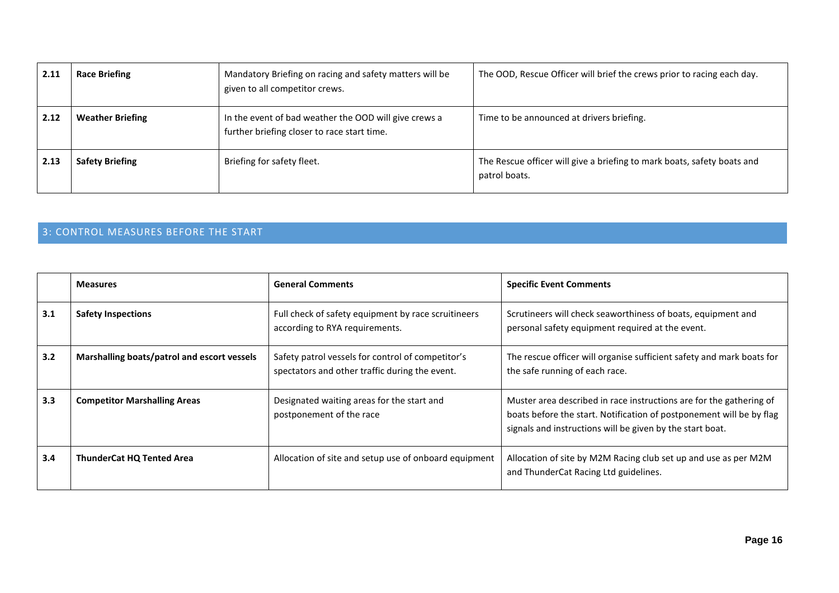| 2.11 | <b>Race Briefing</b>    | Mandatory Briefing on racing and safety matters will be<br>given to all competitor crews.            | The OOD, Rescue Officer will brief the crews prior to racing each day.                   |
|------|-------------------------|------------------------------------------------------------------------------------------------------|------------------------------------------------------------------------------------------|
| 2.12 | <b>Weather Briefing</b> | In the event of bad weather the OOD will give crews a<br>further briefing closer to race start time. | Time to be announced at drivers briefing.                                                |
| 2.13 | <b>Safety Briefing</b>  | Briefing for safety fleet.                                                                           | The Rescue officer will give a briefing to mark boats, safety boats and<br>patrol boats. |

# 3: CONTROL MEASURES BEFORE THE START

|     | <b>Measures</b>                             | <b>General Comments</b>                                                                             | <b>Specific Event Comments</b>                                                                                                                                                                           |
|-----|---------------------------------------------|-----------------------------------------------------------------------------------------------------|----------------------------------------------------------------------------------------------------------------------------------------------------------------------------------------------------------|
| 3.1 | <b>Safety Inspections</b>                   | Full check of safety equipment by race scruitineers<br>according to RYA requirements.               | Scrutineers will check seaworthiness of boats, equipment and<br>personal safety equipment required at the event.                                                                                         |
| 3.2 | Marshalling boats/patrol and escort vessels | Safety patrol vessels for control of competitor's<br>spectators and other traffic during the event. | The rescue officer will organise sufficient safety and mark boats for<br>the safe running of each race.                                                                                                  |
| 3.3 | <b>Competitor Marshalling Areas</b>         | Designated waiting areas for the start and<br>postponement of the race                              | Muster area described in race instructions are for the gathering of<br>boats before the start. Notification of postponement will be by flag<br>signals and instructions will be given by the start boat. |
| 3.4 | <b>ThunderCat HQ Tented Area</b>            | Allocation of site and setup use of onboard equipment                                               | Allocation of site by M2M Racing club set up and use as per M2M<br>and ThunderCat Racing Ltd guidelines.                                                                                                 |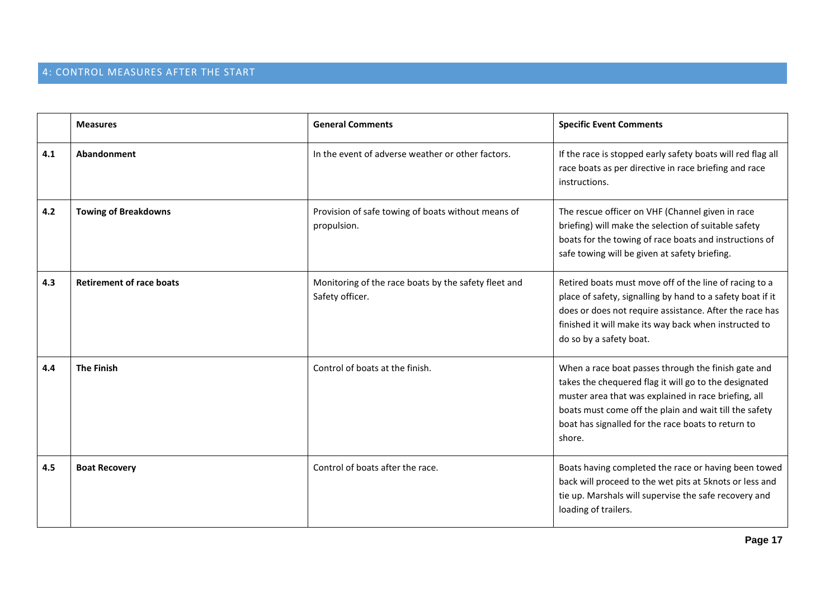# 4: CONTROL MEASURES AFTER THE START

|     | <b>Measures</b>                 | <b>General Comments</b>                                                 | <b>Specific Event Comments</b>                                                                                                                                                                                                                                                                 |
|-----|---------------------------------|-------------------------------------------------------------------------|------------------------------------------------------------------------------------------------------------------------------------------------------------------------------------------------------------------------------------------------------------------------------------------------|
| 4.1 | Abandonment                     | In the event of adverse weather or other factors.                       | If the race is stopped early safety boats will red flag all<br>race boats as per directive in race briefing and race<br>instructions.                                                                                                                                                          |
| 4.2 | <b>Towing of Breakdowns</b>     | Provision of safe towing of boats without means of<br>propulsion.       | The rescue officer on VHF (Channel given in race<br>briefing) will make the selection of suitable safety<br>boats for the towing of race boats and instructions of<br>safe towing will be given at safety briefing.                                                                            |
| 4.3 | <b>Retirement of race boats</b> | Monitoring of the race boats by the safety fleet and<br>Safety officer. | Retired boats must move off of the line of racing to a<br>place of safety, signalling by hand to a safety boat if it<br>does or does not require assistance. After the race has<br>finished it will make its way back when instructed to<br>do so by a safety boat.                            |
| 4.4 | <b>The Finish</b>               | Control of boats at the finish.                                         | When a race boat passes through the finish gate and<br>takes the chequered flag it will go to the designated<br>muster area that was explained in race briefing, all<br>boats must come off the plain and wait till the safety<br>boat has signalled for the race boats to return to<br>shore. |
| 4.5 | <b>Boat Recovery</b>            | Control of boats after the race.                                        | Boats having completed the race or having been towed<br>back will proceed to the wet pits at 5knots or less and<br>tie up. Marshals will supervise the safe recovery and<br>loading of trailers.                                                                                               |